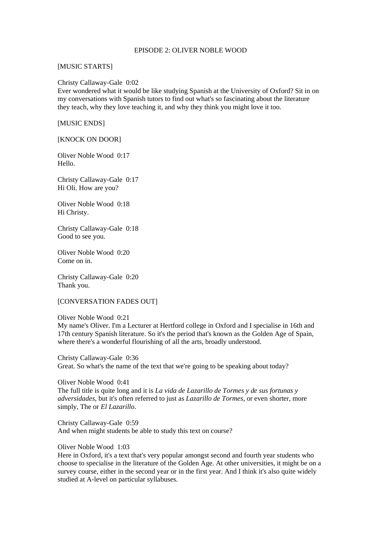### EPISODE 2: OLIVER NOBLE WOOD

### [MUSIC STARTS]

### Christy Callaway-Gale 0:02

Ever wondered what it would be like studying Spanish at the University of Oxford? Sit in on my conversations with Spanish tutors to find out what's so fascinating about the literature they teach, why they love teaching it, and why they think you might love it too.

# [MUSIC ENDS]

# [KNOCK ON DOOR]

Oliver Noble Wood 0:17 Hello.

Christy Callaway-Gale 0:17 Hi Oli. How are you?

Oliver Noble Wood 0:18 Hi Christy.

Christy Callaway-Gale 0:18 Good to see you.

Oliver Noble Wood 0:20 Come on in.

Christy Callaway-Gale 0:20 Thank you.

### [CONVERSATION FADES OUT]

# Oliver Noble Wood 0:21 My name's Oliver. I'm a Lecturer at Hertford college in Oxford and I specialise in 16th and 17th century Spanish literature. So it's the period that's known as the Golden Age of Spain, where there's a wonderful flourishing of all the arts, broadly understood.

Christy Callaway-Gale 0:36 Great. So what's the name of the text that we're going to be speaking about today?

Oliver Noble Wood 0:41 The full title is quite long and it is *La vida de Lazarillo de Tormes y de sus fortunas y adversidades*, but it's often referred to just as *Lazarillo de Tormes*, or even shorter, more simply, The or *El Lazarillo*.

Christy Callaway-Gale 0:59 And when might students be able to study this text on course?

Oliver Noble Wood 1:03

Here in Oxford, it's a text that's very popular amongst second and fourth year students who choose to specialise in the literature of the Golden Age. At other universities, it might be on a survey course, either in the second year or in the first year. And I think it's also quite widely studied at A-level on particular syllabuses.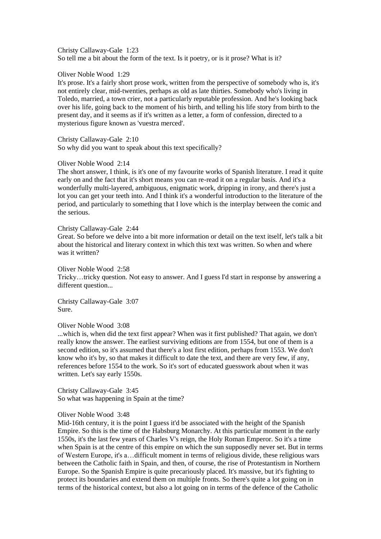Christy Callaway-Gale 1:23 So tell me a bit about the form of the text. Is it poetry, or is it prose? What is it?

Oliver Noble Wood 1:29

It's prose. It's a fairly short prose work, written from the perspective of somebody who is, it's not entirely clear, mid-twenties, perhaps as old as late thirties. Somebody who's living in Toledo, married, a town crier, not a particularly reputable profession. And he's looking back over his life, going back to the moment of his birth, and telling his life story from birth to the present day, and it seems as if it's written as a letter, a form of confession, directed to a mysterious figure known as 'vuestra merced'.

Christy Callaway-Gale 2:10 So why did you want to speak about this text specifically?

### Oliver Noble Wood 2:14

The short answer, I think, is it's one of my favourite works of Spanish literature. I read it quite early on and the fact that it's short means you can re-read it on a regular basis. And it's a wonderfully multi-layered, ambiguous, enigmatic work, dripping in irony, and there's just a lot you can get your teeth into. And I think it's a wonderful introduction to the literature of the period, and particularly to something that I love which is the interplay between the comic and the serious.

Christy Callaway-Gale 2:44

Great. So before we delve into a bit more information or detail on the text itself, let's talk a bit about the historical and literary context in which this text was written. So when and where was it written?

Oliver Noble Wood 2:58 Tricky…tricky question. Not easy to answer. And I guess I'd start in response by answering a different question...

Christy Callaway-Gale 3:07 Sure.

Oliver Noble Wood 3:08

...which is, when did the text first appear? When was it first published? That again, we don't really know the answer. The earliest surviving editions are from 1554, but one of them is a second edition, so it's assumed that there's a lost first edition, perhaps from 1553. We don't know who it's by, so that makes it difficult to date the text, and there are very few, if any, references before 1554 to the work. So it's sort of educated guesswork about when it was written. Let's say early 1550s.

Christy Callaway-Gale 3:45 So what was happening in Spain at the time?

# Oliver Noble Wood 3:48

Mid-16th century, it is the point I guess it'd be associated with the height of the Spanish Empire. So this is the time of the Habsburg Monarchy. At this particular moment in the early 1550s, it's the last few years of Charles V's reign, the Holy Roman Emperor. So it's a time when Spain is at the centre of this empire on which the sun supposedly never set. But in terms of Western Europe, it's a…difficult moment in terms of religious divide, these religious wars between the Catholic faith in Spain, and then, of course, the rise of Protestantism in Northern Europe. So the Spanish Empire is quite precariously placed. It's massive, but it's fighting to protect its boundaries and extend them on multiple fronts. So there's quite a lot going on in terms of the historical context, but also a lot going on in terms of the defence of the Catholic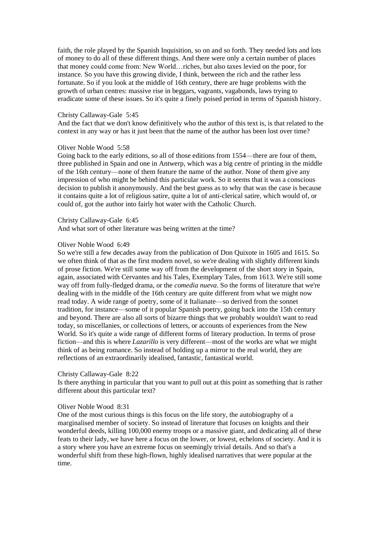faith, the role played by the Spanish Inquisition, so on and so forth. They needed lots and lots of money to do all of these different things. And there were only a certain number of places that money could come from: New World…riches, but also taxes levied on the poor, for instance. So you have this growing divide, I think, between the rich and the rather less fortunate. So if you look at the middle of 16th century, there are huge problems with the growth of urban centres: massive rise in beggars, vagrants, vagabonds, laws trying to eradicate some of these issues. So it's quite a finely poised period in terms of Spanish history.

#### Christy Callaway-Gale 5:45

And the fact that we don't know definitively who the author of this text is, is that related to the context in any way or has it just been that the name of the author has been lost over time?

#### Oliver Noble Wood 5:58

Going back to the early editions, so all of those editions from 1554—there are four of them, three published in Spain and one in Antwerp, which was a big centre of printing in the middle of the 16th century—none of them feature the name of the author. None of them give any impression of who might be behind this particular work. So it seems that it was a conscious decision to publish it anonymously. And the best guess as to why that was the case is because it contains quite a lot of religious satire, quite a lot of anti-clerical satire, which would of, or could of, got the author into fairly hot water with the Catholic Church.

#### Christy Callaway-Gale 6:45

And what sort of other literature was being written at the time?

### Oliver Noble Wood 6:49

So we're still a few decades away from the publication of Don Quixote in 1605 and 1615. So we often think of that as the first modern novel, so we're dealing with slightly different kinds of prose fiction. We're still some way off from the development of the short story in Spain, again, associated with Cervantes and his Tales, Exemplary Tales, from 1613. We're still some way off from fully-fledged drama, or the *comedia nueva*. So the forms of literature that we're dealing with in the middle of the 16th century are quite different from what we might now read today. A wide range of poetry, some of it Italianate—so derived from the sonnet tradition, for instance—some of it popular Spanish poetry, going back into the 15th century and beyond. There are also all sorts of bizarre things that we probably wouldn't want to read today, so miscellanies, or collections of letters, or accounts of experiences from the New World. So it's quite a wide range of different forms of literary production. In terms of prose fiction—and this is where *Lazarillo* is very different—most of the works are what we might think of as being romance. So instead of holding up a mirror to the real world, they are reflections of an extraordinarily idealised, fantastic, fantastical world.

### Christy Callaway-Gale 8:22

Is there anything in particular that you want to pull out at this point as something that is rather different about this particular text?

# Oliver Noble Wood 8:31

One of the most curious things is this focus on the life story, the autobiography of a marginalised member of society. So instead of literature that focuses on knights and their wonderful deeds, killing 100,000 enemy troops or a massive giant, and dedicating all of these feats to their lady, we have here a focus on the lower, or lowest, echelons of society. And it is a story where you have an extreme focus on seemingly trivial details. And so that's a wonderful shift from these high-flown, highly idealised narratives that were popular at the time.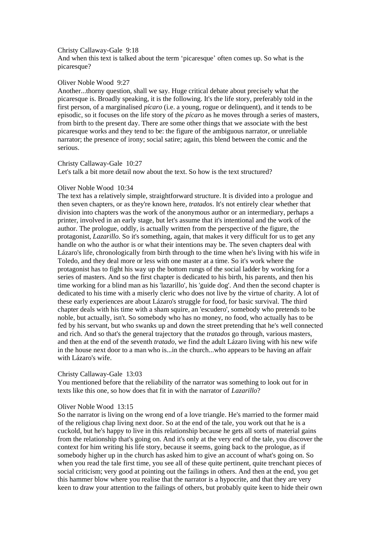#### Christy Callaway-Gale 9:18

And when this text is talked about the term 'picaresque' often comes up. So what is the picaresque?

### Oliver Noble Wood 9:27

Another...thorny question, shall we say. Huge critical debate about precisely what the picaresque is. Broadly speaking, it is the following. It's the life story, preferably told in the first person, of a marginalised *pícaro* (i.e. a young, rogue or delinquent), and it tends to be episodic, so it focuses on the life story of the *pícaro* as he moves through a series of masters, from birth to the present day. There are some other things that we associate with the best picaresque works and they tend to be: the figure of the ambiguous narrator, or unreliable narrator; the presence of irony; social satire; again, this blend between the comic and the serious.

### Christy Callaway-Gale 10:27

Let's talk a bit more detail now about the text. So how is the text structured?

# Oliver Noble Wood 10:34

The text has a relatively simple, straightforward structure. It is divided into a prologue and then seven chapters, or as they're known here, *tratados*. It's not entirely clear whether that division into chapters was the work of the anonymous author or an intermediary, perhaps a printer, involved in an early stage, but let's assume that it's intentional and the work of the author. The prologue, oddly, is actually written from the perspective of the figure, the protagonist, *Lazarillo*. So it's something, again, that makes it very difficult for us to get any handle on who the author is or what their intentions may be. The seven chapters deal with Lázaro's life, chronologically from birth through to the time when he's living with his wife in Toledo, and they deal more or less with one master at a time. So it's work where the protagonist has to fight his way up the bottom rungs of the social ladder by working for a series of masters. And so the first chapter is dedicated to his birth, his parents, and then his time working for a blind man as his 'lazarillo', his 'guide dog'. And then the second chapter is dedicated to his time with a miserly cleric who does not live by the virtue of charity. A lot of these early experiences are about Lázaro's struggle for food, for basic survival. The third chapter deals with his time with a sham squire, an 'escudero', somebody who pretends to be noble, but actually, isn't. So somebody who has no money, no food, who actually has to be fed by his servant, but who swanks up and down the street pretending that he's well connected and rich. And so that's the general trajectory that the *tratados* go through, various masters, and then at the end of the seventh *tratado*, we find the adult Lázaro living with his new wife in the house next door to a man who is...in the church...who appears to be having an affair with Lázaro's wife.

# Christy Callaway-Gale 13:03

You mentioned before that the reliability of the narrator was something to look out for in texts like this one, so how does that fit in with the narrator of *Lazarillo*?

# Oliver Noble Wood 13:15

So the narrator is living on the wrong end of a love triangle. He's married to the former maid of the religious chap living next door. So at the end of the tale, you work out that he is a cuckold, but he's happy to live in this relationship because he gets all sorts of material gains from the relationship that's going on. And it's only at the very end of the tale, you discover the context for him writing his life story, because it seems, going back to the prologue, as if somebody higher up in the church has asked him to give an account of what's going on. So when you read the tale first time, you see all of these quite pertinent, quite trenchant pieces of social criticism; very good at pointing out the failings in others. And then at the end, you get this hammer blow where you realise that the narrator is a hypocrite, and that they are very keen to draw your attention to the failings of others, but probably quite keen to hide their own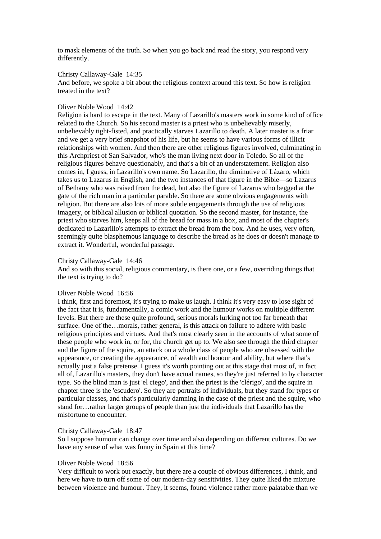to mask elements of the truth. So when you go back and read the story, you respond very differently.

# Christy Callaway-Gale 14:35

And before, we spoke a bit about the religious context around this text. So how is religion treated in the text?

### Oliver Noble Wood 14:42

Religion is hard to escape in the text. Many of Lazarillo's masters work in some kind of office related to the Church. So his second master is a priest who is unbelievably miserly, unbelievably tight-fisted, and practically starves Lazarillo to death. A later master is a friar and we get a very brief snapshot of his life, but he seems to have various forms of illicit relationships with women. And then there are other religious figures involved, culminating in this Archpriest of San Salvador, who's the man living next door in Toledo. So all of the religious figures behave questionably, and that's a bit of an understatement. Religion also comes in, I guess, in Lazarillo's own name. So Lazarillo, the diminutive of Lázaro, which takes us to Lazarus in English, and the two instances of that figure in the Bible—so Lazarus of Bethany who was raised from the dead, but also the figure of Lazarus who begged at the gate of the rich man in a particular parable. So there are some obvious engagements with religion. But there are also lots of more subtle engagements through the use of religious imagery, or biblical allusion or biblical quotation. So the second master, for instance, the priest who starves him, keeps all of the bread for mass in a box, and most of the chapter's dedicated to Lazarillo's attempts to extract the bread from the box. And he uses, very often, seemingly quite blasphemous language to describe the bread as he does or doesn't manage to extract it. Wonderful, wonderful passage.

### Christy Callaway-Gale 14:46

And so with this social, religious commentary, is there one, or a few, overriding things that the text is trying to do?

# Oliver Noble Wood 16:56

I think, first and foremost, it's trying to make us laugh. I think it's very easy to lose sight of the fact that it is, fundamentally, a comic work and the humour works on multiple different levels. But there are these quite profound, serious morals lurking not too far beneath that surface. One of the…morals, rather general, is this attack on failure to adhere with basic religious principles and virtues. And that's most clearly seen in the accounts of what some of these people who work in, or for, the church get up to. We also see through the third chapter and the figure of the squire, an attack on a whole class of people who are obsessed with the appearance, or creating the appearance, of wealth and honour and ability, but where that's actually just a false pretense. I guess it's worth pointing out at this stage that most of, in fact all of, Lazarillo's masters, they don't have actual names, so they're just referred to by character type. So the blind man is just 'el ciego', and then the priest is the 'clérigo', and the squire in chapter three is the 'escudero'. So they are portraits of individuals, but they stand for types or particular classes, and that's particularly damning in the case of the priest and the squire, who stand for…rather larger groups of people than just the individuals that Lazarillo has the misfortune to encounter.

# Christy Callaway-Gale 18:47

So I suppose humour can change over time and also depending on different cultures. Do we have any sense of what was funny in Spain at this time?

### Oliver Noble Wood 18:56

Very difficult to work out exactly, but there are a couple of obvious differences, I think, and here we have to turn off some of our modern-day sensitivities. They quite liked the mixture between violence and humour. They, it seems, found violence rather more palatable than we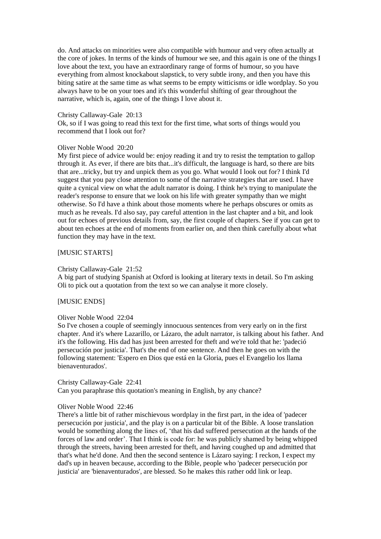do. And attacks on minorities were also compatible with humour and very often actually at the core of jokes. In terms of the kinds of humour we see, and this again is one of the things I love about the text, you have an extraordinary range of forms of humour, so you have everything from almost knockabout slapstick, to very subtle irony, and then you have this biting satire at the same time as what seems to be empty witticisms or idle wordplay. So you always have to be on your toes and it's this wonderful shifting of gear throughout the narrative, which is, again, one of the things I love about it.

### Christy Callaway-Gale 20:13

Ok, so if I was going to read this text for the first time, what sorts of things would you recommend that I look out for?

### Oliver Noble Wood 20:20

My first piece of advice would be: enjoy reading it and try to resist the temptation to gallop through it. As ever, if there are bits that...it's difficult, the language is hard, so there are bits that are...tricky, but try and unpick them as you go. What would I look out for? I think I'd suggest that you pay close attention to some of the narrative strategies that are used. I have quite a cynical view on what the adult narrator is doing. I think he's trying to manipulate the reader's response to ensure that we look on his life with greater sympathy than we might otherwise. So I'd have a think about those moments where he perhaps obscures or omits as much as he reveals. I'd also say, pay careful attention in the last chapter and a bit, and look out for echoes of previous details from, say, the first couple of chapters. See if you can get to about ten echoes at the end of moments from earlier on, and then think carefully about what function they may have in the text.

# [MUSIC STARTS]

# Christy Callaway-Gale 21:52

A big part of studying Spanish at Oxford is looking at literary texts in detail. So I'm asking Oli to pick out a quotation from the text so we can analyse it more closely.

# [MUSIC ENDS]

#### Oliver Noble Wood 22:04

So I've chosen a couple of seemingly innocuous sentences from very early on in the first chapter. And it's where Lazarillo, or Lázaro, the adult narrator, is talking about his father. And it's the following. His dad has just been arrested for theft and we're told that he: 'padeció persecución por justicia'. That's the end of one sentence. And then he goes on with the following statement: 'Espero en Dios que está en la Gloria, pues el Evangelio los llama bienaventurados'.

# Christy Callaway-Gale 22:41

Can you paraphrase this quotation's meaning in English, by any chance?

# Oliver Noble Wood 22:46

There's a little bit of rather mischievous wordplay in the first part, in the idea of 'padecer persecución por justicia', and the play is on a particular bit of the Bible. A loose translation would be something along the lines of, 'that his dad suffered persecution at the hands of the forces of law and order'. That I think is code for: he was publicly shamed by being whipped through the streets, having been arrested for theft, and having coughed up and admitted that that's what he'd done. And then the second sentence is Lázaro saying: I reckon, I expect my dad's up in heaven because, according to the Bible, people who 'padecer persecución por justicia' are 'bienaventurados', are blessed. So he makes this rather odd link or leap.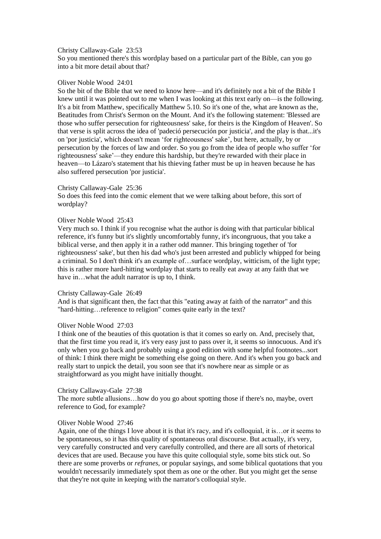### Christy Callaway-Gale 23:53

So you mentioned there's this wordplay based on a particular part of the Bible, can you go into a bit more detail about that?

# Oliver Noble Wood 24:01

So the bit of the Bible that we need to know here—and it's definitely not a bit of the Bible I knew until it was pointed out to me when I was looking at this text early on—is the following. It's a bit from Matthew, specifically Matthew 5.10. So it's one of the, what are known as the, Beatitudes from Christ's Sermon on the Mount. And it's the following statement: 'Blessed are those who suffer persecution for righteousness' sake, for theirs is the Kingdom of Heaven'. So that verse is split across the idea of 'padeció persecución por justicia', and the play is that...it's on 'por justicia', which doesn't mean 'for righteousness' sake', but here, actually, by or persecution by the forces of law and order. So you go from the idea of people who suffer 'for righteousness' sake'—they endure this hardship, but they're rewarded with their place in heaven—to Lázaro's statement that his thieving father must be up in heaven because he has also suffered persecution 'por justicia'.

### Christy Callaway-Gale 25:36

So does this feed into the comic element that we were talking about before, this sort of wordplay?

### Oliver Noble Wood 25:43

Very much so. I think if you recognise what the author is doing with that particular biblical reference, it's funny but it's slightly uncomfortably funny, it's incongruous, that you take a biblical verse, and then apply it in a rather odd manner. This bringing together of 'for righteousness' sake', but then his dad who's just been arrested and publicly whipped for being a criminal. So I don't think it's an example of…surface wordplay, witticism, of the light type; this is rather more hard-hitting wordplay that starts to really eat away at any faith that we have in…what the adult narrator is up to, I think.

### Christy Callaway-Gale 26:49

And is that significant then, the fact that this "eating away at faith of the narrator" and this "hard-hitting…reference to religion" comes quite early in the text?

# Oliver Noble Wood 27:03

I think one of the beauties of this quotation is that it comes so early on. And, precisely that, that the first time you read it, it's very easy just to pass over it, it seems so innocuous. And it's only when you go back and probably using a good edition with some helpful footnotes...sort of think: I think there might be something else going on there. And it's when you go back and really start to unpick the detail, you soon see that it's nowhere near as simple or as straightforward as you might have initially thought.

# Christy Callaway-Gale 27:38

The more subtle allusions…how do you go about spotting those if there's no, maybe, overt reference to God, for example?

#### Oliver Noble Wood 27:46

Again, one of the things I love about it is that it's racy, and it's colloquial, it is…or it seems to be spontaneous, so it has this quality of spontaneous oral discourse. But actually, it's very, very carefully constructed and very carefully controlled, and there are all sorts of rhetorical devices that are used. Because you have this quite colloquial style, some bits stick out. So there are some proverbs or *refranes*, or popular sayings, and some biblical quotations that you wouldn't necessarily immediately spot them as one or the other. But you might get the sense that they're not quite in keeping with the narrator's colloquial style.